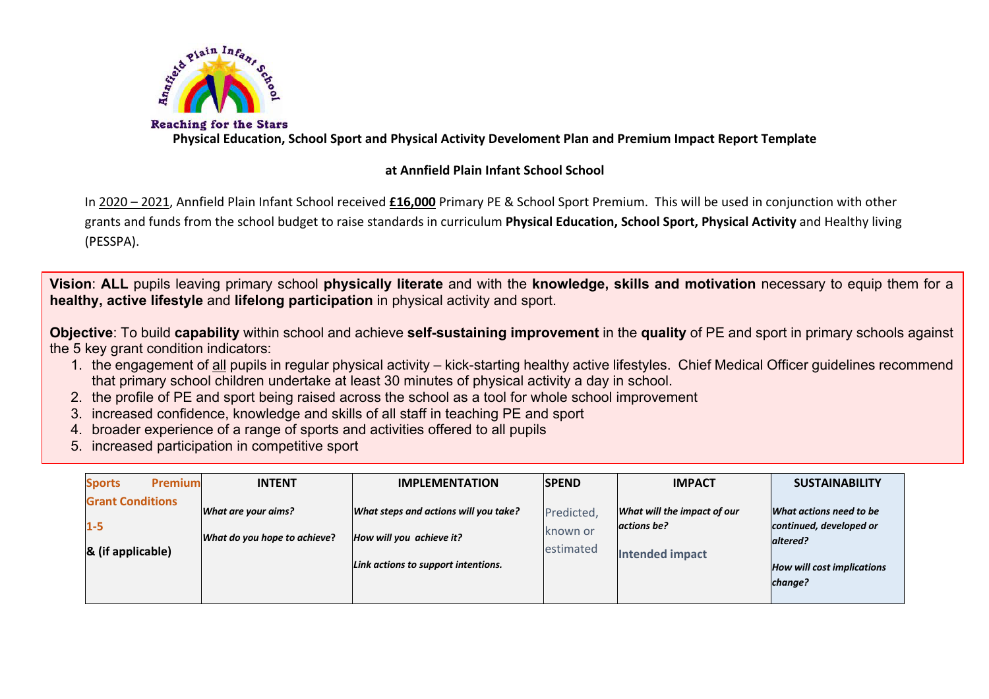

**Physical Education, School Sport and Physical Activity Develoment Plan and Premium Impact Report Template**

# **at Annfield Plain Infant School School**

In 2020 – 2021, Annfield Plain Infant School received **£16,000** Primary PE & School Sport Premium. This will be used in conjunction with other grants and funds from the school budget to raise standards in curriculum **Physical Education, School Sport, Physical Activity** and Healthy living (PESSPA).

**Vision**: **ALL** pupils leaving primary school **physically literate** and with the **knowledge, skills and motivation** necessary to equip them for a **healthy, active lifestyle** and **lifelong participation** in physical activity and sport.

**Objective**: To build **capability** within school and achieve **self-sustaining improvement** in the **quality** of PE and sport in primary schools against the 5 key grant condition indicators:

- 1. the engagement of all pupils in regular physical activity kick-starting healthy active lifestyles. Chief Medical Officer guidelines recommend that primary school children undertake at least 30 minutes of physical activity a day in school.
- 2. the profile of PE and sport being raised across the school as a tool for whole school improvement
- 3. increased confidence, knowledge and skills of all staff in teaching PE and sport
- 4. broader experience of a range of sports and activities offered to all pupils
- 5. increased participation in competitive sport

| <b>Premium</b><br><b>Sports</b>                         | <b>INTENT</b>                                       | <b>IMPLEMENTATION</b>                                                                                    | <b>ISPEND</b>                       | <b>IMPACT</b>                                                        | <b>SUSTAINABILITY</b>                                                                                          |
|---------------------------------------------------------|-----------------------------------------------------|----------------------------------------------------------------------------------------------------------|-------------------------------------|----------------------------------------------------------------------|----------------------------------------------------------------------------------------------------------------|
| <b>Grant Conditions</b><br>$1 - 5$<br>& (if applicable) | What are your aims?<br>What do you hope to achieve? | What steps and actions will you take?<br>How will you achieve it?<br>Link actions to support intentions. | Predicted,<br>known or<br>estimated | What will the impact of our<br>actions be?<br><b>Intended impact</b> | What actions need to be<br>continued, developed or<br>altered?<br><b>How will cost implications</b><br>change? |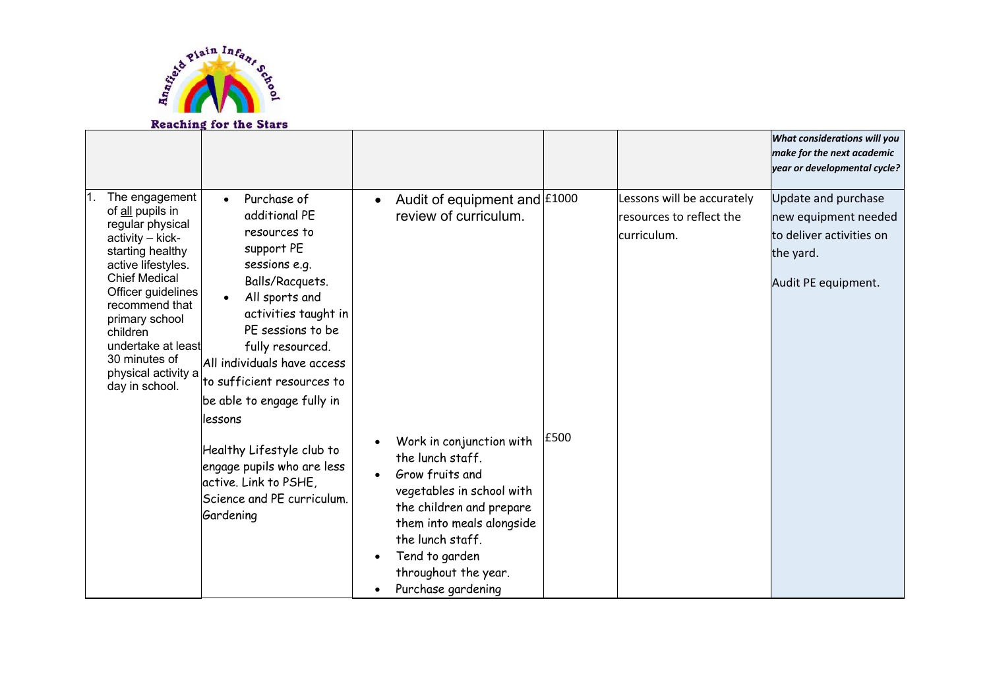

#### .<br>r *What considerations will you make for the next academic year or developmental cycle?* The engagement of all pupils in regular physical activity – kickstarting healthy active lifestyles. Chief Medical Officer guidelines recommend that primary school children undertake at least 30 minutes of physical activity a day in school. • Purchase of additional PE resources to support PE sessions e.g. Balls/Racquets. • All sports and activities taught in PE sessions to be fully resourced. All individuals have access to sufficient resources to be able to engage fully in lessons Healthy Lifestyle club to engage pupils who are less active. Link to PSHE, Science and PE curriculum. Gardening • Audit of equipment and £1000 review of curriculum. • Work in conjunction with the lunch staff. • Grow fruits and vegetables in school with the children and prepare them into meals alongside the lunch staff. • Tend to garden throughout the year. • Purchase gardening £500 Lessons will be accurately resources to reflect the curriculum. Update and purchase new equipment needed to deliver activities on the yard. Audit PE equipment.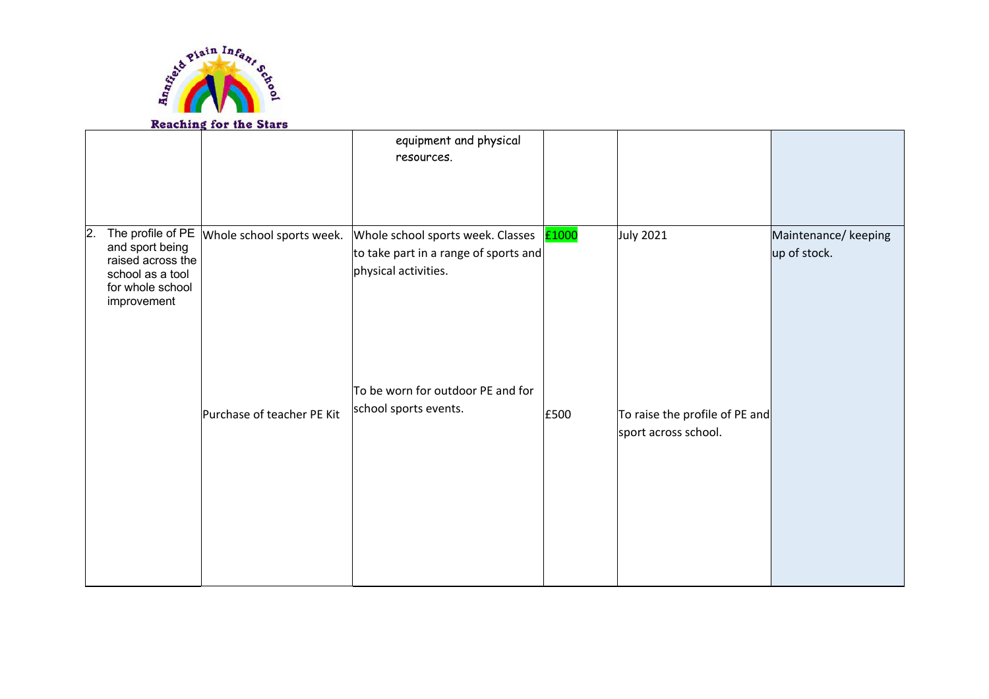

# **Reaching for the Stars**

|    |                                                                                             |                                                 | equipment and physical<br>resources.                                                                            |      |                                                        |                                      |
|----|---------------------------------------------------------------------------------------------|-------------------------------------------------|-----------------------------------------------------------------------------------------------------------------|------|--------------------------------------------------------|--------------------------------------|
| 2. | and sport being<br>raised across the<br>school as a tool<br>for whole school<br>improvement | The profile of PE $ $ Whole school sports week. | Whole school sports week. Classes <b>E1000</b><br>to take part in a range of sports and<br>physical activities. |      | <b>July 2021</b>                                       | Maintenance/ keeping<br>up of stock. |
|    |                                                                                             | Purchase of teacher PE Kit                      | To be worn for outdoor PE and for<br>school sports events.                                                      | £500 | To raise the profile of PE and<br>sport across school. |                                      |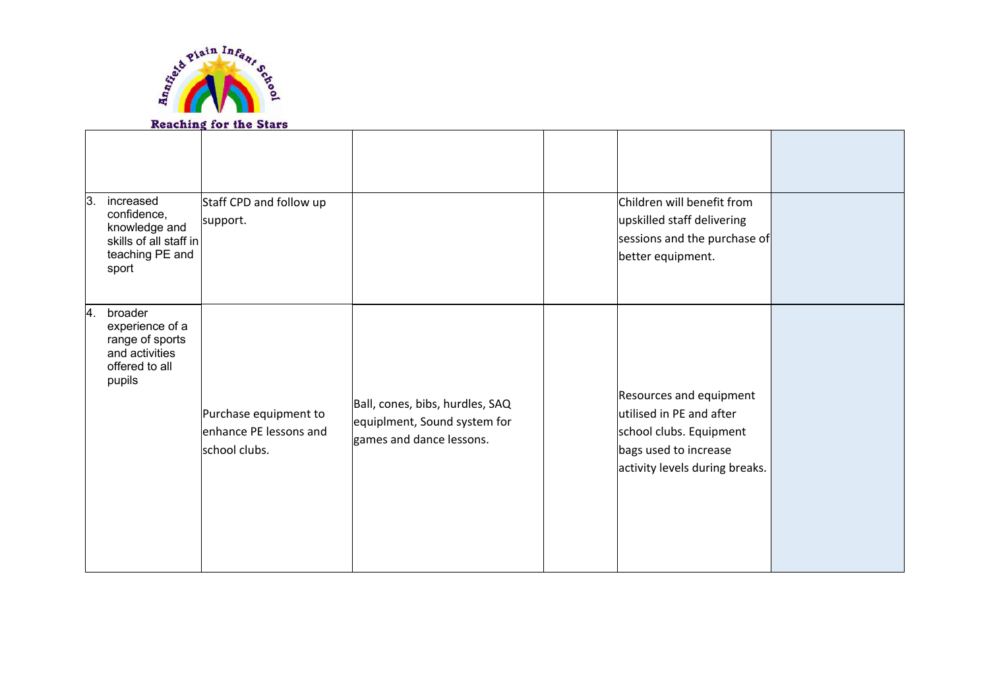

## **Reaching for the Stars**

| ΙЗ.             | increased<br>confidence,<br>knowledge and<br>skills of all staff in<br>teaching PE and<br>sport | Staff CPD and follow up<br>support.                              |                                                                                             | Children will benefit from<br>upskilled staff delivering<br>sessions and the purchase of<br>better equipment.                              |  |
|-----------------|-------------------------------------------------------------------------------------------------|------------------------------------------------------------------|---------------------------------------------------------------------------------------------|--------------------------------------------------------------------------------------------------------------------------------------------|--|
| $\vert 4 \vert$ | broader<br>experience of a<br>range of sports<br>and activities<br>offered to all<br>pupils     | Purchase equipment to<br>enhance PE lessons and<br>school clubs. | Ball, cones, bibs, hurdles, SAQ<br>equiplment, Sound system for<br>games and dance lessons. | Resources and equipment<br>lutilised in PE and after<br>school clubs. Equipment<br>bags used to increase<br>activity levels during breaks. |  |